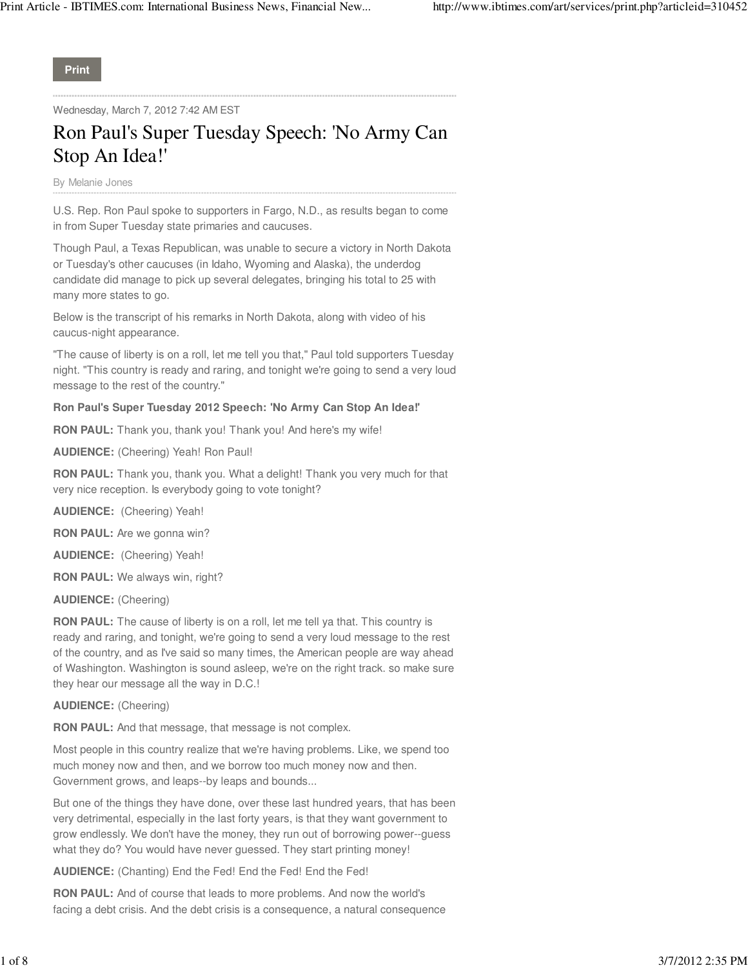**Print**

Wednesday, March 7, 2012 7:42 AM EST

# Ron Paul's Super Tuesday Speech: 'No Army Can Stop An Idea!'

By Melanie Jones

U.S. Rep. Ron Paul spoke to supporters in Fargo, N.D., as results began to come in from Super Tuesday state primaries and caucuses.

Though Paul, a Texas Republican, was unable to secure a victory in North Dakota or Tuesday's other caucuses (in Idaho, Wyoming and Alaska), the underdog candidate did manage to pick up several delegates, bringing his total to 25 with many more states to go.

Below is the transcript of his remarks in North Dakota, along with video of his caucus-night appearance.

"The cause of liberty is on a roll, let me tell you that," Paul told supporters Tuesday night. "This country is ready and raring, and tonight we're going to send a very loud message to the rest of the country."

# **Ron Paul's Super Tuesday 2012 Speech: 'No Army Can Stop An Idea!'**

**RON PAUL:** Thank you, thank you! Thank you! And here's my wife!

**AUDIENCE:** (Cheering) Yeah! Ron Paul!

**RON PAUL:** Thank you, thank you. What a delight! Thank you very much for that very nice reception. Is everybody going to vote tonight?

**AUDIENCE:** (Cheering) Yeah!

**RON PAUL:** Are we gonna win?

**AUDIENCE:** (Cheering) Yeah!

**RON PAUL:** We always win, right?

**AUDIENCE:** (Cheering)

**RON PAUL:** The cause of liberty is on a roll, let me tell ya that. This country is ready and raring, and tonight, we're going to send a very loud message to the rest of the country, and as I've said so many times, the American people are way ahead of Washington. Washington is sound asleep, we're on the right track. so make sure they hear our message all the way in D.C.!

**AUDIENCE:** (Cheering)

**RON PAUL:** And that message, that message is not complex.

Most people in this country realize that we're having problems. Like, we spend too much money now and then, and we borrow too much money now and then. Government grows, and leaps--by leaps and bounds...

But one of the things they have done, over these last hundred years, that has been very detrimental, especially in the last forty years, is that they want government to grow endlessly. We don't have the money, they run out of borrowing power--guess what they do? You would have never guessed. They start printing money!

**AUDIENCE:** (Chanting) End the Fed! End the Fed! End the Fed!

**RON PAUL:** And of course that leads to more problems. And now the world's facing a debt crisis. And the debt crisis is a consequence, a natural consequence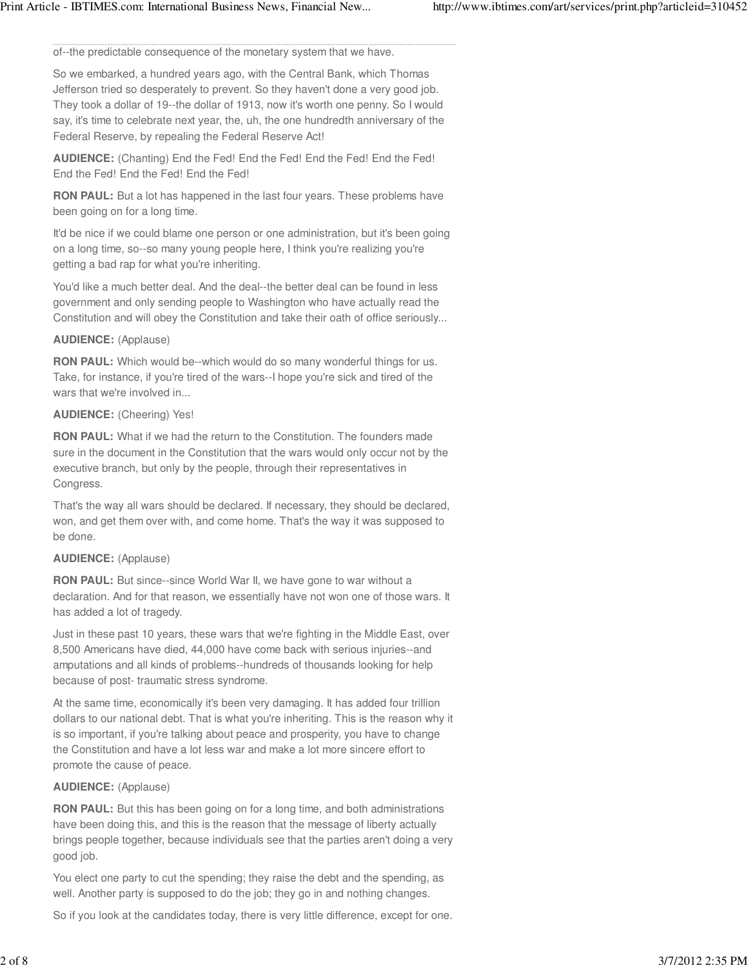of--the predictable consequence of the monetary system that we have.

So we embarked, a hundred years ago, with the Central Bank, which Thomas Jefferson tried so desperately to prevent. So they haven't done a very good job. They took a dollar of 19--the dollar of 1913, now it's worth one penny. So I would say, it's time to celebrate next year, the, uh, the one hundredth anniversary of the Federal Reserve, by repealing the Federal Reserve Act!

**AUDIENCE:** (Chanting) End the Fed! End the Fed! End the Fed! End the Fed! End the Fed! End the Fed! End the Fed!

**RON PAUL:** But a lot has happened in the last four years. These problems have been going on for a long time.

It'd be nice if we could blame one person or one administration, but it's been going on a long time, so--so many young people here, I think you're realizing you're getting a bad rap for what you're inheriting.

You'd like a much better deal. And the deal--the better deal can be found in less government and only sending people to Washington who have actually read the Constitution and will obey the Constitution and take their oath of office seriously...

# **AUDIENCE:** (Applause)

**RON PAUL:** Which would be--which would do so many wonderful things for us. Take, for instance, if you're tired of the wars--I hope you're sick and tired of the wars that we're involved in...

# **AUDIENCE:** (Cheering) Yes!

**RON PAUL:** What if we had the return to the Constitution. The founders made sure in the document in the Constitution that the wars would only occur not by the executive branch, but only by the people, through their representatives in Congress.

That's the way all wars should be declared. If necessary, they should be declared, won, and get them over with, and come home. That's the way it was supposed to be done.

# **AUDIENCE:** (Applause)

**RON PAUL:** But since--since World War II, we have gone to war without a declaration. And for that reason, we essentially have not won one of those wars. It has added a lot of tragedy.

Just in these past 10 years, these wars that we're fighting in the Middle East, over 8,500 Americans have died, 44,000 have come back with serious injuries--and amputations and all kinds of problems--hundreds of thousands looking for help because of post- traumatic stress syndrome.

At the same time, economically it's been very damaging. It has added four trillion dollars to our national debt. That is what you're inheriting. This is the reason why it is so important, if you're talking about peace and prosperity, you have to change the Constitution and have a lot less war and make a lot more sincere effort to promote the cause of peace.

# **AUDIENCE:** (Applause)

**RON PAUL:** But this has been going on for a long time, and both administrations have been doing this, and this is the reason that the message of liberty actually brings people together, because individuals see that the parties aren't doing a very good job.

You elect one party to cut the spending; they raise the debt and the spending, as well. Another party is supposed to do the job; they go in and nothing changes.

So if you look at the candidates today, there is very little difference, except for one.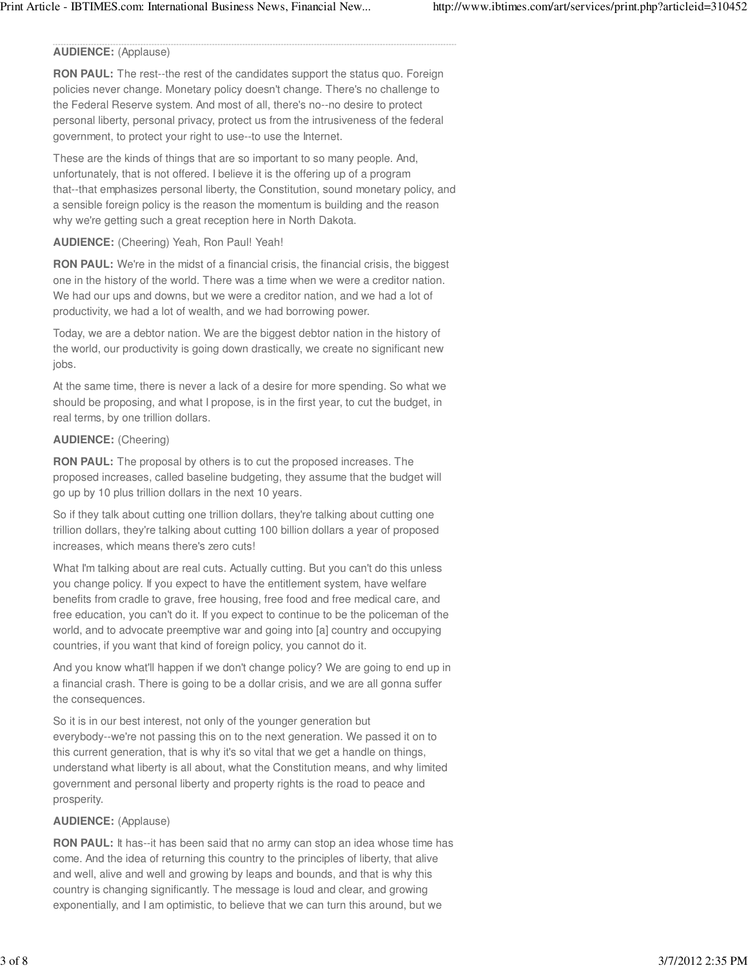## **AUDIENCE:** (Applause)

**RON PAUL:** The rest--the rest of the candidates support the status quo. Foreign policies never change. Monetary policy doesn't change. There's no challenge to the Federal Reserve system. And most of all, there's no--no desire to protect personal liberty, personal privacy, protect us from the intrusiveness of the federal government, to protect your right to use--to use the Internet.

These are the kinds of things that are so important to so many people. And, unfortunately, that is not offered. I believe it is the offering up of a program that--that emphasizes personal liberty, the Constitution, sound monetary policy, and a sensible foreign policy is the reason the momentum is building and the reason why we're getting such a great reception here in North Dakota.

# **AUDIENCE:** (Cheering) Yeah, Ron Paul! Yeah!

**RON PAUL:** We're in the midst of a financial crisis, the financial crisis, the biggest one in the history of the world. There was a time when we were a creditor nation. We had our ups and downs, but we were a creditor nation, and we had a lot of productivity, we had a lot of wealth, and we had borrowing power.

Today, we are a debtor nation. We are the biggest debtor nation in the history of the world, our productivity is going down drastically, we create no significant new jobs.

At the same time, there is never a lack of a desire for more spending. So what we should be proposing, and what I propose, is in the first year, to cut the budget, in real terms, by one trillion dollars.

#### **AUDIENCE:** (Cheering)

**RON PAUL:** The proposal by others is to cut the proposed increases. The proposed increases, called baseline budgeting, they assume that the budget will go up by 10 plus trillion dollars in the next 10 years.

So if they talk about cutting one trillion dollars, they're talking about cutting one trillion dollars, they're talking about cutting 100 billion dollars a year of proposed increases, which means there's zero cuts!

What I'm talking about are real cuts. Actually cutting. But you can't do this unless you change policy. If you expect to have the entitlement system, have welfare benefits from cradle to grave, free housing, free food and free medical care, and free education, you can't do it. If you expect to continue to be the policeman of the world, and to advocate preemptive war and going into [a] country and occupying countries, if you want that kind of foreign policy, you cannot do it.

And you know what'll happen if we don't change policy? We are going to end up in a financial crash. There is going to be a dollar crisis, and we are all gonna suffer the consequences.

So it is in our best interest, not only of the younger generation but everybody--we're not passing this on to the next generation. We passed it on to this current generation, that is why it's so vital that we get a handle on things, understand what liberty is all about, what the Constitution means, and why limited government and personal liberty and property rights is the road to peace and prosperity.

#### **AUDIENCE:** (Applause)

**RON PAUL:** It has--it has been said that no army can stop an idea whose time has come. And the idea of returning this country to the principles of liberty, that alive and well, alive and well and growing by leaps and bounds, and that is why this country is changing significantly. The message is loud and clear, and growing exponentially, and I am optimistic, to believe that we can turn this around, but we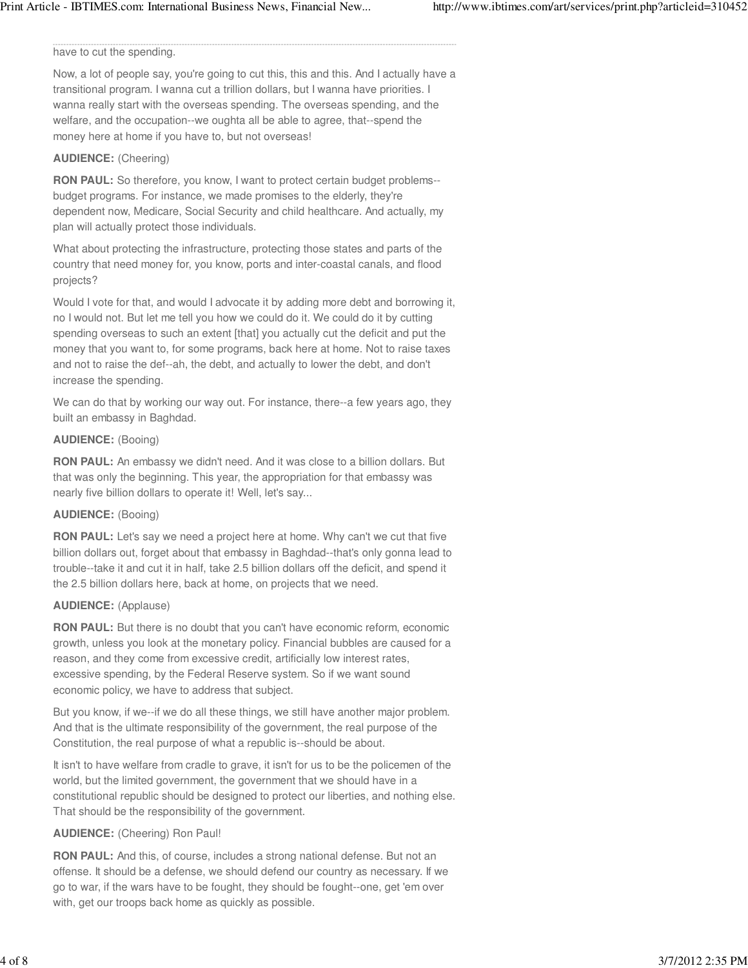#### have to cut the spending.

Now, a lot of people say, you're going to cut this, this and this. And I actually have a transitional program. I wanna cut a trillion dollars, but I wanna have priorities. I wanna really start with the overseas spending. The overseas spending, and the welfare, and the occupation--we oughta all be able to agree, that--spend the money here at home if you have to, but not overseas!

#### **AUDIENCE:** (Cheering)

**RON PAUL:** So therefore, you know, I want to protect certain budget problems-budget programs. For instance, we made promises to the elderly, they're dependent now, Medicare, Social Security and child healthcare. And actually, my plan will actually protect those individuals.

What about protecting the infrastructure, protecting those states and parts of the country that need money for, you know, ports and inter-coastal canals, and flood projects?

Would I vote for that, and would I advocate it by adding more debt and borrowing it, no I would not. But let me tell you how we could do it. We could do it by cutting spending overseas to such an extent [that] you actually cut the deficit and put the money that you want to, for some programs, back here at home. Not to raise taxes and not to raise the def--ah, the debt, and actually to lower the debt, and don't increase the spending.

We can do that by working our way out. For instance, there--a few years ago, they built an embassy in Baghdad.

#### **AUDIENCE:** (Booing)

**RON PAUL:** An embassy we didn't need. And it was close to a billion dollars. But that was only the beginning. This year, the appropriation for that embassy was nearly five billion dollars to operate it! Well, let's say...

#### **AUDIENCE:** (Booing)

**RON PAUL:** Let's say we need a project here at home. Why can't we cut that five billion dollars out, forget about that embassy in Baghdad--that's only gonna lead to trouble--take it and cut it in half, take 2.5 billion dollars off the deficit, and spend it the 2.5 billion dollars here, back at home, on projects that we need.

## **AUDIENCE:** (Applause)

**RON PAUL:** But there is no doubt that you can't have economic reform, economic growth, unless you look at the monetary policy. Financial bubbles are caused for a reason, and they come from excessive credit, artificially low interest rates, excessive spending, by the Federal Reserve system. So if we want sound economic policy, we have to address that subject.

But you know, if we--if we do all these things, we still have another major problem. And that is the ultimate responsibility of the government, the real purpose of the Constitution, the real purpose of what a republic is--should be about.

It isn't to have welfare from cradle to grave, it isn't for us to be the policemen of the world, but the limited government, the government that we should have in a constitutional republic should be designed to protect our liberties, and nothing else. That should be the responsibility of the government.

#### **AUDIENCE:** (Cheering) Ron Paul!

**RON PAUL:** And this, of course, includes a strong national defense. But not an offense. It should be a defense, we should defend our country as necessary. If we go to war, if the wars have to be fought, they should be fought--one, get 'em over with, get our troops back home as quickly as possible.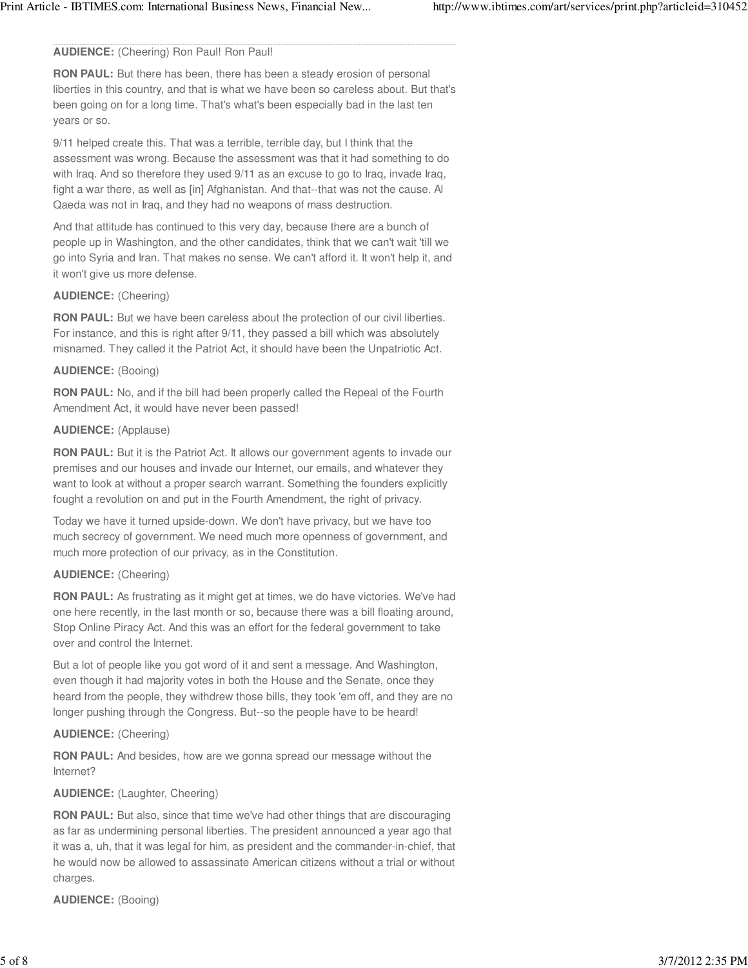# **AUDIENCE:** (Cheering) Ron Paul! Ron Paul!

**RON PAUL:** But there has been, there has been a steady erosion of personal liberties in this country, and that is what we have been so careless about. But that's been going on for a long time. That's what's been especially bad in the last ten years or so.

9/11 helped create this. That was a terrible, terrible day, but I think that the assessment was wrong. Because the assessment was that it had something to do with Iraq. And so therefore they used 9/11 as an excuse to go to Iraq, invade Iraq, fight a war there, as well as [in] Afghanistan. And that--that was not the cause. Al Qaeda was not in Iraq, and they had no weapons of mass destruction.

And that attitude has continued to this very day, because there are a bunch of people up in Washington, and the other candidates, think that we can't wait 'till we go into Syria and Iran. That makes no sense. We can't afford it. It won't help it, and it won't give us more defense.

#### **AUDIENCE:** (Cheering)

**RON PAUL:** But we have been careless about the protection of our civil liberties. For instance, and this is right after 9/11, they passed a bill which was absolutely misnamed. They called it the Patriot Act, it should have been the Unpatriotic Act.

#### **AUDIENCE:** (Booing)

**RON PAUL:** No, and if the bill had been properly called the Repeal of the Fourth Amendment Act, it would have never been passed!

#### **AUDIENCE:** (Applause)

**RON PAUL:** But it is the Patriot Act. It allows our government agents to invade our premises and our houses and invade our Internet, our emails, and whatever they want to look at without a proper search warrant. Something the founders explicitly fought a revolution on and put in the Fourth Amendment, the right of privacy.

Today we have it turned upside-down. We don't have privacy, but we have too much secrecy of government. We need much more openness of government, and much more protection of our privacy, as in the Constitution.

## **AUDIENCE:** (Cheering)

**RON PAUL:** As frustrating as it might get at times, we do have victories. We've had one here recently, in the last month or so, because there was a bill floating around, Stop Online Piracy Act. And this was an effort for the federal government to take over and control the Internet.

But a lot of people like you got word of it and sent a message. And Washington, even though it had majority votes in both the House and the Senate, once they heard from the people, they withdrew those bills, they took 'em off, and they are no longer pushing through the Congress. But--so the people have to be heard!

# **AUDIENCE:** (Cheering)

**RON PAUL:** And besides, how are we gonna spread our message without the Internet?

# **AUDIENCE:** (Laughter, Cheering)

**RON PAUL:** But also, since that time we've had other things that are discouraging as far as undermining personal liberties. The president announced a year ago that it was a, uh, that it was legal for him, as president and the commander-in-chief, that he would now be allowed to assassinate American citizens without a trial or without charges.

**AUDIENCE:** (Booing)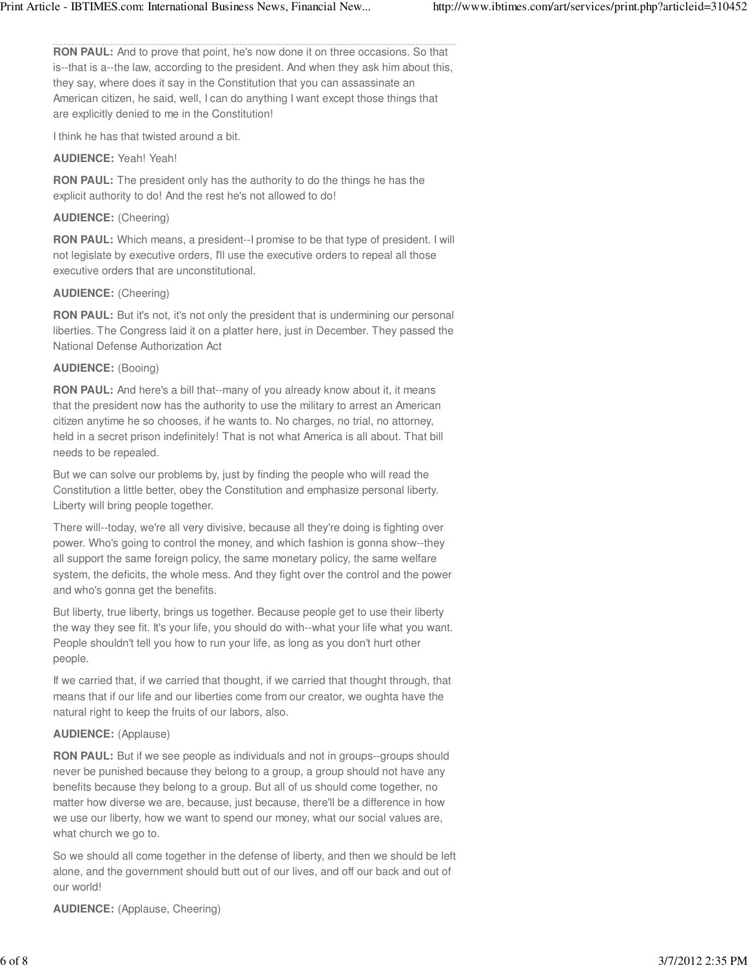**RON PAUL:** And to prove that point, he's now done it on three occasions. So that is--that is a--the law, according to the president. And when they ask him about this, they say, where does it say in the Constitution that you can assassinate an American citizen, he said, well, I can do anything I want except those things that are explicitly denied to me in the Constitution!

I think he has that twisted around a bit.

# **AUDIENCE:** Yeah! Yeah!

**RON PAUL:** The president only has the authority to do the things he has the explicit authority to do! And the rest he's not allowed to do!

# **AUDIENCE:** (Cheering)

**RON PAUL:** Which means, a president--I promise to be that type of president. I will not legislate by executive orders, I'll use the executive orders to repeal all those executive orders that are unconstitutional.

# **AUDIENCE:** (Cheering)

**RON PAUL:** But it's not, it's not only the president that is undermining our personal liberties. The Congress laid it on a platter here, just in December. They passed the National Defense Authorization Act

# **AUDIENCE:** (Booing)

**RON PAUL:** And here's a bill that--many of you already know about it, it means that the president now has the authority to use the military to arrest an American citizen anytime he so chooses, if he wants to. No charges, no trial, no attorney, held in a secret prison indefinitely! That is not what America is all about. That bill needs to be repealed.

But we can solve our problems by, just by finding the people who will read the Constitution a little better, obey the Constitution and emphasize personal liberty. Liberty will bring people together.

There will--today, we're all very divisive, because all they're doing is fighting over power. Who's going to control the money, and which fashion is gonna show--they all support the same foreign policy, the same monetary policy, the same welfare system, the deficits, the whole mess. And they fight over the control and the power and who's gonna get the benefits.

But liberty, true liberty, brings us together. Because people get to use their liberty the way they see fit. It's your life, you should do with--what your life what you want. People shouldn't tell you how to run your life, as long as you don't hurt other people.

If we carried that, if we carried that thought, if we carried that thought through, that means that if our life and our liberties come from our creator, we oughta have the natural right to keep the fruits of our labors, also.

# **AUDIENCE:** (Applause)

**RON PAUL:** But if we see people as individuals and not in groups--groups should never be punished because they belong to a group, a group should not have any benefits because they belong to a group. But all of us should come together, no matter how diverse we are, because, just because, there'll be a difference in how we use our liberty, how we want to spend our money, what our social values are, what church we go to.

So we should all come together in the defense of liberty, and then we should be left alone, and the government should butt out of our lives, and off our back and out of our world!

**AUDIENCE:** (Applause, Cheering)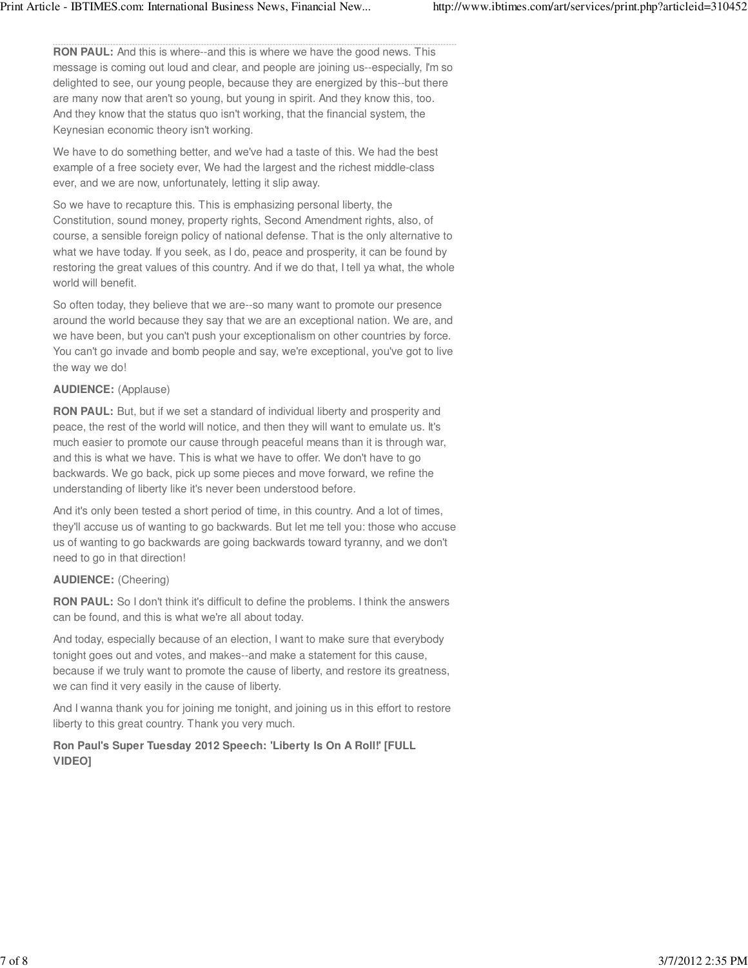**RON PAUL:** And this is where--and this is where we have the good news. This message is coming out loud and clear, and people are joining us--especially, I'm so delighted to see, our young people, because they are energized by this--but there are many now that aren't so young, but young in spirit. And they know this, too. And they know that the status quo isn't working, that the financial system, the Keynesian economic theory isn't working.

We have to do something better, and we've had a taste of this. We had the best example of a free society ever, We had the largest and the richest middle-class ever, and we are now, unfortunately, letting it slip away.

So we have to recapture this. This is emphasizing personal liberty, the Constitution, sound money, property rights, Second Amendment rights, also, of course, a sensible foreign policy of national defense. That is the only alternative to what we have today. If you seek, as I do, peace and prosperity, it can be found by restoring the great values of this country. And if we do that, I tell ya what, the whole world will benefit.

So often today, they believe that we are--so many want to promote our presence around the world because they say that we are an exceptional nation. We are, and we have been, but you can't push your exceptionalism on other countries by force. You can't go invade and bomb people and say, we're exceptional, you've got to live the way we do!

# **AUDIENCE:** (Applause)

**RON PAUL:** But, but if we set a standard of individual liberty and prosperity and peace, the rest of the world will notice, and then they will want to emulate us. It's much easier to promote our cause through peaceful means than it is through war, and this is what we have. This is what we have to offer. We don't have to go backwards. We go back, pick up some pieces and move forward, we refine the understanding of liberty like it's never been understood before.

And it's only been tested a short period of time, in this country. And a lot of times, they'll accuse us of wanting to go backwards. But let me tell you: those who accuse us of wanting to go backwards are going backwards toward tyranny, and we don't need to go in that direction!

# **AUDIENCE:** (Cheering)

**RON PAUL:** So I don't think it's difficult to define the problems. I think the answers can be found, and this is what we're all about today.

And today, especially because of an election, I want to make sure that everybody tonight goes out and votes, and makes--and make a statement for this cause, because if we truly want to promote the cause of liberty, and restore its greatness, we can find it very easily in the cause of liberty.

And I wanna thank you for joining me tonight, and joining us in this effort to restore liberty to this great country. Thank you very much.

# **Ron Paul's Super Tuesday 2012 Speech: 'Liberty Is On A Roll!' [FULL VIDEO]**